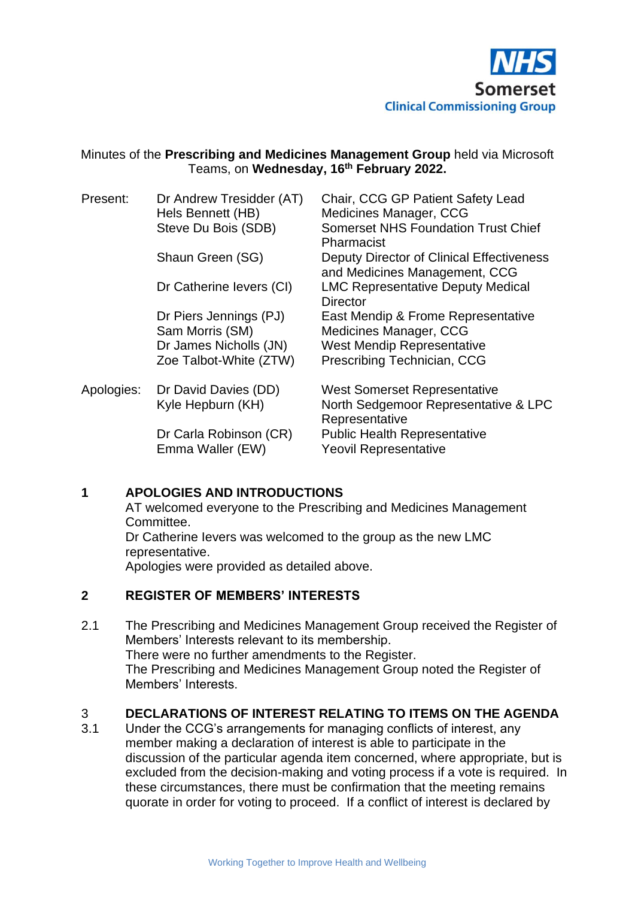

# Minutes of the **Prescribing and Medicines Management Group** held via Microsoft Teams, on **Wednesday, 16 th February 2022.**

| Present:   | Dr Andrew Tresidder (AT)<br>Hels Bennett (HB)<br>Steve Du Bois (SDB)                          | Chair, CCG GP Patient Safety Lead<br>Medicines Manager, CCG<br><b>Somerset NHS Foundation Trust Chief</b><br>Pharmacist          |
|------------|-----------------------------------------------------------------------------------------------|----------------------------------------------------------------------------------------------------------------------------------|
|            | Shaun Green (SG)                                                                              | Deputy Director of Clinical Effectiveness<br>and Medicines Management, CCG                                                       |
|            | Dr Catherine levers (CI)                                                                      | <b>LMC Representative Deputy Medical</b><br><b>Director</b>                                                                      |
|            | Dr Piers Jennings (PJ)<br>Sam Morris (SM)<br>Dr James Nicholls (JN)<br>Zoe Talbot-White (ZTW) | East Mendip & Frome Representative<br>Medicines Manager, CCG<br><b>West Mendip Representative</b><br>Prescribing Technician, CCG |
| Apologies: | Dr David Davies (DD)<br>Kyle Hepburn (KH)                                                     | <b>West Somerset Representative</b><br>North Sedgemoor Representative & LPC<br>Representative                                    |
|            | Dr Carla Robinson (CR)<br>Emma Waller (EW)                                                    | <b>Public Health Representative</b><br><b>Yeovil Representative</b>                                                              |

# **1 APOLOGIES AND INTRODUCTIONS**

AT welcomed everyone to the Prescribing and Medicines Management Committee.

Dr Catherine Ievers was welcomed to the group as the new LMC representative.

Apologies were provided as detailed above.

# **2 REGISTER OF MEMBERS' INTERESTS**

2.1 The Prescribing and Medicines Management Group received the Register of Members' Interests relevant to its membership. There were no further amendments to the Register. The Prescribing and Medicines Management Group noted the Register of Members' Interests.

# 3 **DECLARATIONS OF INTEREST RELATING TO ITEMS ON THE AGENDA**

3.1 Under the CCG's arrangements for managing conflicts of interest, any member making a declaration of interest is able to participate in the discussion of the particular agenda item concerned, where appropriate, but is excluded from the decision-making and voting process if a vote is required. In these circumstances, there must be confirmation that the meeting remains quorate in order for voting to proceed. If a conflict of interest is declared by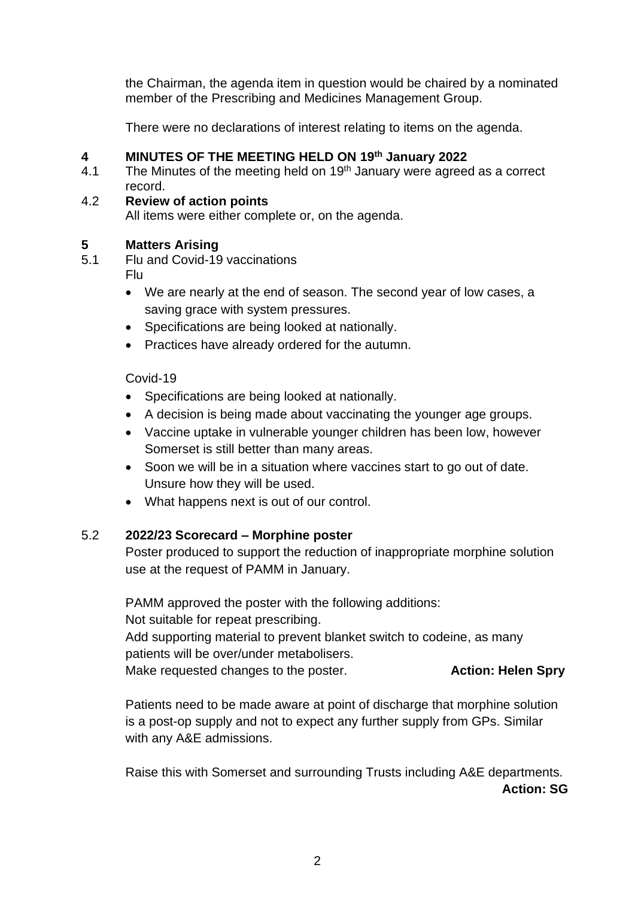the Chairman, the agenda item in question would be chaired by a nominated member of the Prescribing and Medicines Management Group.

There were no declarations of interest relating to items on the agenda.

# **4 MINUTES OF THE MEETING HELD ON 19 th January 2022**

- 4.1 The Minutes of the meeting held on  $19<sup>th</sup>$  January were agreed as a correct record.
- 4.2 **Review of action points** All items were either complete or, on the agenda.

# **5 Matters Arising**

- 5.1 Flu and Covid-19 vaccinations Flu
	- We are nearly at the end of season. The second year of low cases, a saving grace with system pressures.
	- Specifications are being looked at nationally.
	- Practices have already ordered for the autumn.

Covid-19

- Specifications are being looked at nationally.
- A decision is being made about vaccinating the younger age groups.
- Vaccine uptake in vulnerable younger children has been low, however Somerset is still better than many areas.
- Soon we will be in a situation where vaccines start to go out of date. Unsure how they will be used.
- What happens next is out of our control.

# 5.2 **2022/23 Scorecard – Morphine poster**

Poster produced to support the reduction of inappropriate morphine solution use at the request of PAMM in January.

PAMM approved the poster with the following additions: Not suitable for repeat prescribing. Add supporting material to prevent blanket switch to codeine, as many patients will be over/under metabolisers. Make requested changes to the poster. **Action: Helen Spry** 

Patients need to be made aware at point of discharge that morphine solution is a post-op supply and not to expect any further supply from GPs. Similar with any A&E admissions.

Raise this with Somerset and surrounding Trusts including A&E departments. **Action: SG**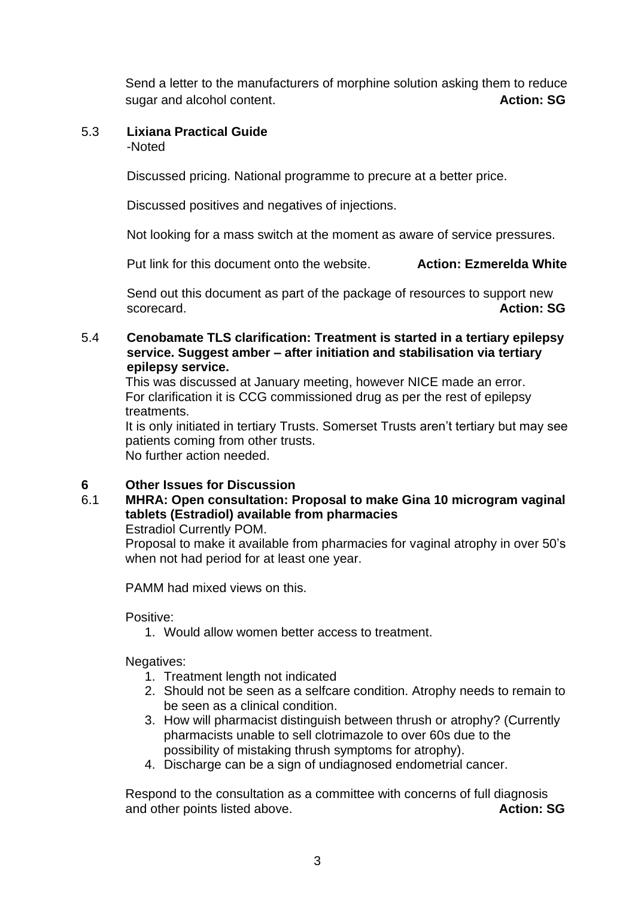Send a letter to the manufacturers of morphine solution asking them to reduce sugar and alcohol content. **Action: SG**

### 5.3 **Lixiana Practical Guide** -Noted

Discussed pricing. National programme to precure at a better price.

Discussed positives and negatives of injections.

Not looking for a mass switch at the moment as aware of service pressures.

Put link for this document onto the website. **Action: Ezmerelda White**

Send out this document as part of the package of resources to support new scorecard. **Action: SG**

# 5.4 **Cenobamate TLS clarification: Treatment is started in a tertiary epilepsy service. Suggest amber – after initiation and stabilisation via tertiary epilepsy service.**

This was discussed at January meeting, however NICE made an error. For clarification it is CCG commissioned drug as per the rest of epilepsy treatments.

It is only initiated in tertiary Trusts. Somerset Trusts aren't tertiary but may see patients coming from other trusts. No further action needed.

# **6 Other Issues for Discussion**

# 6.1 **MHRA: Open consultation: Proposal to make Gina 10 microgram vaginal tablets (Estradiol) available from pharmacies**

Estradiol Currently POM.

Proposal to make it available from pharmacies for vaginal atrophy in over 50's when not had period for at least one year.

PAMM had mixed views on this.

Positive:

1. Would allow women better access to treatment.

Negatives:

- 1. Treatment length not indicated
- 2. Should not be seen as a selfcare condition. Atrophy needs to remain to be seen as a clinical condition.
- 3. How will pharmacist distinguish between thrush or atrophy? (Currently pharmacists unable to sell clotrimazole to over 60s due to the possibility of mistaking thrush symptoms for atrophy).
- 4. Discharge can be a sign of undiagnosed endometrial cancer.

Respond to the consultation as a committee with concerns of full diagnosis and other points listed above. **Action: SG Action: SG**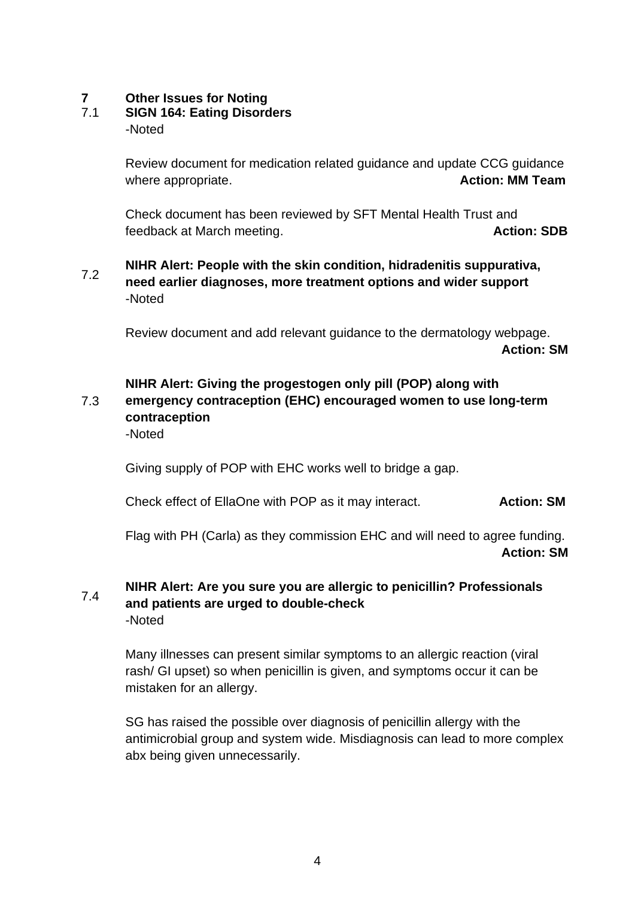# **7 Other Issues for Noting**

# **SIGN 164: Eating Disorders**

-Noted

Review document for medication related guidance and update CCG guidance where appropriate. **Action: MM Team** 

Check document has been reviewed by SFT Mental Health Trust and feedback at March meeting. **Action: SDB**

#### 7.2 **NIHR Alert: People with the skin condition, hidradenitis suppurativa, need earlier diagnoses, more treatment options and wider support** -Noted

Review document and add relevant guidance to the dermatology webpage. **Action: SM**

# **NIHR Alert: Giving the progestogen only pill (POP) along with**

#### 7.3 **emergency contraception (EHC) encouraged women to use long-term contraception**

-Noted

Giving supply of POP with EHC works well to bridge a gap.

Check effect of EllaOne with POP as it may interact. **Action: SM**

Flag with PH (Carla) as they commission EHC and will need to agree funding. **Action: SM**

#### 7.4 **NIHR Alert: Are you sure you are allergic to penicillin? Professionals and patients are urged to double-check** -Noted

Many illnesses can present similar symptoms to an allergic reaction (viral rash/ GI upset) so when penicillin is given, and symptoms occur it can be mistaken for an allergy.

SG has raised the possible over diagnosis of penicillin allergy with the antimicrobial group and system wide. Misdiagnosis can lead to more complex abx being given unnecessarily.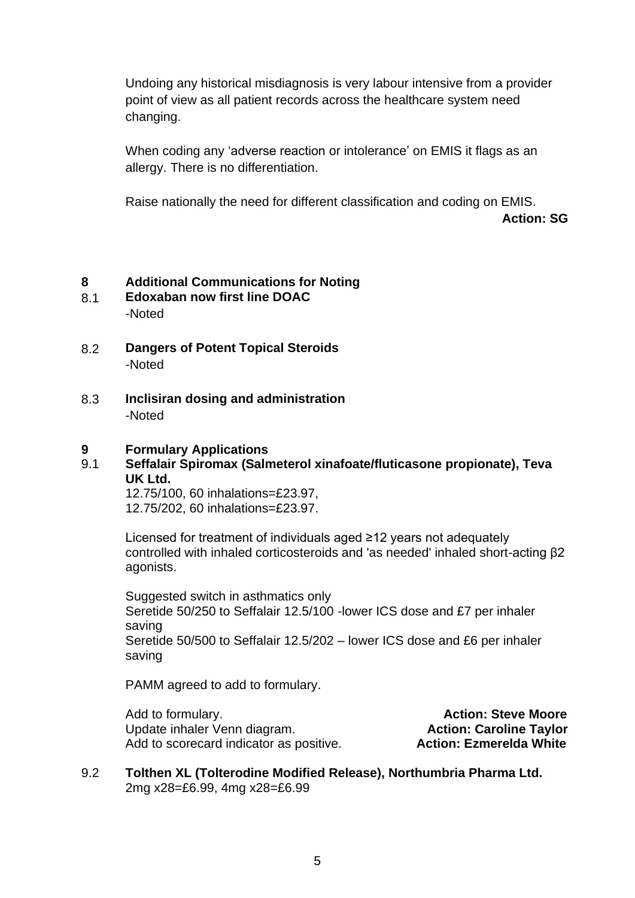Undoing any historical misdiagnosis is very labour intensive from a provider point of view as all patient records across the healthcare system need changing.

When coding any 'adverse reaction or intolerance' on EMIS it flags as an allergy. There is no differentiation.

Raise nationally the need for different classification and coding on EMIS.

**Action: SG**

# **8 Additional Communications for Noting**

- 8.1 **Edoxaban now first line DOAC** -Noted
- 8.2 **Dangers of Potent Topical Steroids** -Noted
- 8.3 **Inclisiran dosing and administration** -Noted

### **9 Formulary Applications**

# 9.1 **Seffalair Spiromax (Salmeterol xinafoate/fluticasone propionate), Teva UK Ltd.**

12.75/100, 60 inhalations=£23.97, 12.75/202, 60 inhalations=£23.97.

Licensed for treatment of individuals aged ≥12 years not adequately controlled with inhaled corticosteroids and 'as needed' inhaled short-acting β2 agonists.

Suggested switch in asthmatics only Seretide 50/250 to Seffalair 12.5/100 -lower ICS dose and £7 per inhaler saving Seretide 50/500 to Seffalair 12.5/202 – lower ICS dose and £6 per inhaler saving

PAMM agreed to add to formulary.

Add to formulary. **Action: Steve Moore** Update inhaler Venn diagram. **Action: Caroline Taylor Caroline Taylor** Add to scorecard indicator as positive. **Action: Ezmerelda White**

# 9.2 **Tolthen XL (Tolterodine Modified Release), Northumbria Pharma Ltd.** 2mg x28=£6.99, 4mg x28=£6.99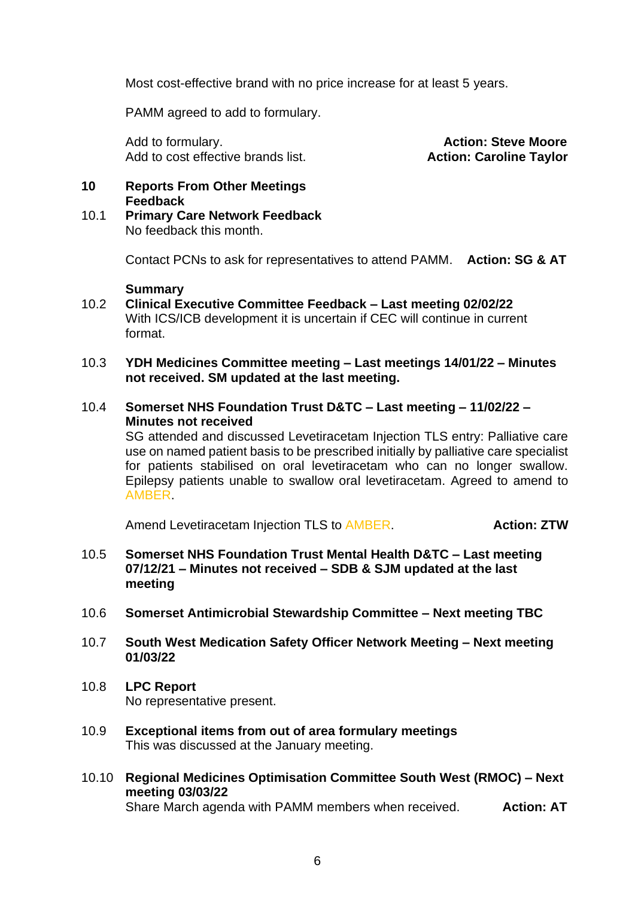Most cost-effective brand with no price increase for at least 5 years.

PAMM agreed to add to formulary.

Add to formulary. **Action: Steve Moore** Add to cost effective brands list. **Action: Caroline Taylor** 

# **10 Reports From Other Meetings Feedback**

10.1 **Primary Care Network Feedback** No feedback this month.

Contact PCNs to ask for representatives to attend PAMM. **Action: SG & AT**

### **Summary**

- 10.2 **Clinical Executive Committee Feedback – Last meeting 02/02/22** With ICS/ICB development it is uncertain if CEC will continue in current format.
- 10.3 **YDH Medicines Committee meeting – Last meetings 14/01/22 – Minutes not received. SM updated at the last meeting.**
- 10.4 **Somerset NHS Foundation Trust D&TC – Last meeting – 11/02/22 – Minutes not received**

SG attended and discussed Levetiracetam Injection TLS entry: Palliative care use on named patient basis to be prescribed initially by palliative care specialist for patients stabilised on oral levetiracetam who can no longer swallow. Epilepsy patients unable to swallow oral levetiracetam. Agreed to amend to AMBER.

Amend Levetiracetam Injection TLS to AMBER. **Action: ZTW** 

- 10.5 **Somerset NHS Foundation Trust Mental Health D&TC – Last meeting 07/12/21 – Minutes not received – SDB & SJM updated at the last meeting**
- 10.6 **Somerset Antimicrobial Stewardship Committee – Next meeting TBC**
- 10.7 **South West Medication Safety Officer Network Meeting – Next meeting 01/03/22**
- 10.8 **LPC Report** No representative present.
- 10.9 **Exceptional items from out of area formulary meetings** This was discussed at the January meeting.
- 10.10 **Regional Medicines Optimisation Committee South West (RMOC) – Next meeting 03/03/22**

Share March agenda with PAMM members when received. **Action: AT**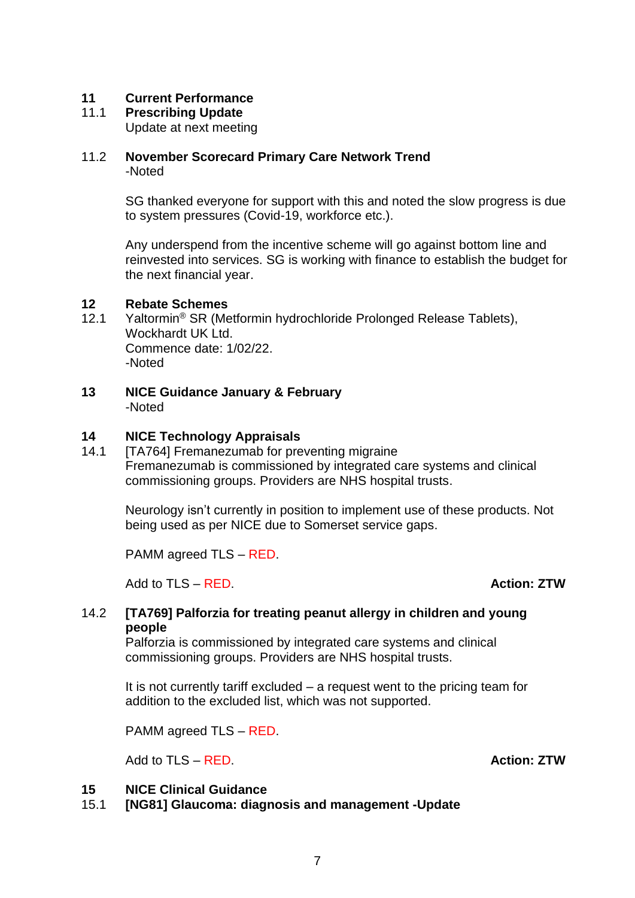# **11 Current Performance**

**Prescribing Update** 

Update at next meeting

# 11.2 **November Scorecard Primary Care Network Trend** -Noted

SG thanked everyone for support with this and noted the slow progress is due to system pressures (Covid-19, workforce etc.).

Any underspend from the incentive scheme will go against bottom line and reinvested into services. SG is working with finance to establish the budget for the next financial year.

# **12 Rebate Schemes**

- 12.1 Yaltormin<sup>®</sup> SR (Metformin hydrochloride Prolonged Release Tablets), Wockhardt UK Ltd. Commence date: 1/02/22. -Noted
- **13 NICE Guidance January & February** -Noted

# **14 NICE Technology Appraisals**

14.1 **ITA7641 Fremanezumab for preventing migraine** Fremanezumab is commissioned by integrated care systems and clinical commissioning groups. Providers are NHS hospital trusts.

Neurology isn't currently in position to implement use of these products. Not being used as per NICE due to Somerset service gaps.

PAMM agreed TLS – RED.

Add to TLS – RED. **Action: ZTW**

# 14.2 **[TA769] Palforzia for treating peanut allergy in children and young people**

Palforzia is commissioned by integrated care systems and clinical commissioning groups. Providers are NHS hospital trusts.

It is not currently tariff excluded – a request went to the pricing team for addition to the excluded list, which was not supported.

PAMM agreed TLS – RED.

Add to TLS – RED. **Action: ZTW** 

# **15 NICE Clinical Guidance**

15.1 **[NG81] Glaucoma: diagnosis and management -Update**